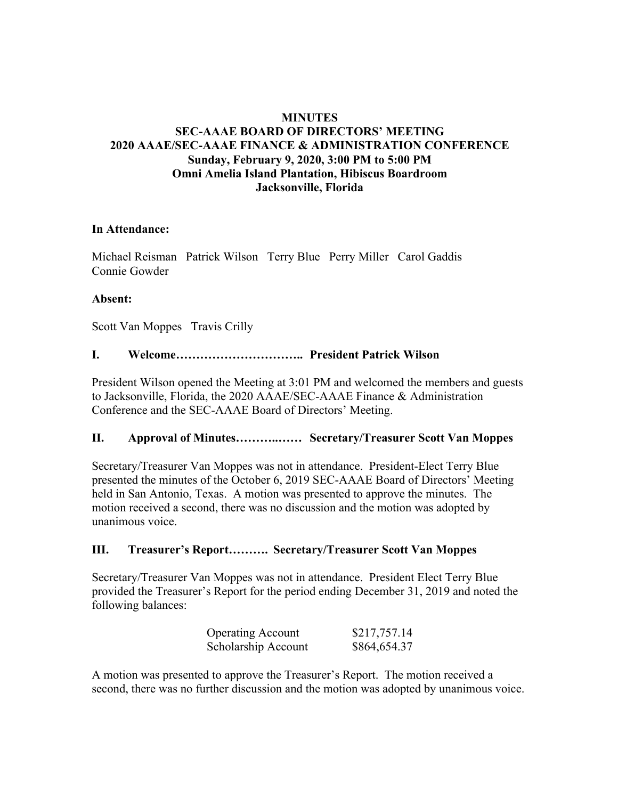## **MINUTES**

# **SEC-AAAE BOARD OF DIRECTORS' MEETING 2020 AAAE/SEC-AAAE FINANCE & ADMINISTRATION CONFERENCE Sunday, February 9, 2020, 3:00 PM to 5:00 PM Omni Amelia Island Plantation, Hibiscus Boardroom Jacksonville, Florida**

### **In Attendance:**

Michael Reisman Patrick Wilson Terry Blue Perry Miller Carol Gaddis Connie Gowder

### **Absent:**

Scott Van Moppes Travis Crilly

## **I. Welcome………………………….. President Patrick Wilson**

President Wilson opened the Meeting at 3:01 PM and welcomed the members and guests to Jacksonville, Florida, the 2020 AAAE/SEC-AAAE Finance & Administration Conference and the SEC-AAAE Board of Directors' Meeting.

### **II. Approval of Minutes………..…… Secretary/Treasurer Scott Van Moppes**

Secretary/Treasurer Van Moppes was not in attendance. President-Elect Terry Blue presented the minutes of the October 6, 2019 SEC-AAAE Board of Directors' Meeting held in San Antonio, Texas. A motion was presented to approve the minutes. The motion received a second, there was no discussion and the motion was adopted by unanimous voice.

# **III. Treasurer's Report………. Secretary/Treasurer Scott Van Moppes**

Secretary/Treasurer Van Moppes was not in attendance. President Elect Terry Blue provided the Treasurer's Report for the period ending December 31, 2019 and noted the following balances:

| <b>Operating Account</b> | \$217,757.14 |
|--------------------------|--------------|
| Scholarship Account      | \$864,654.37 |

A motion was presented to approve the Treasurer's Report. The motion received a second, there was no further discussion and the motion was adopted by unanimous voice.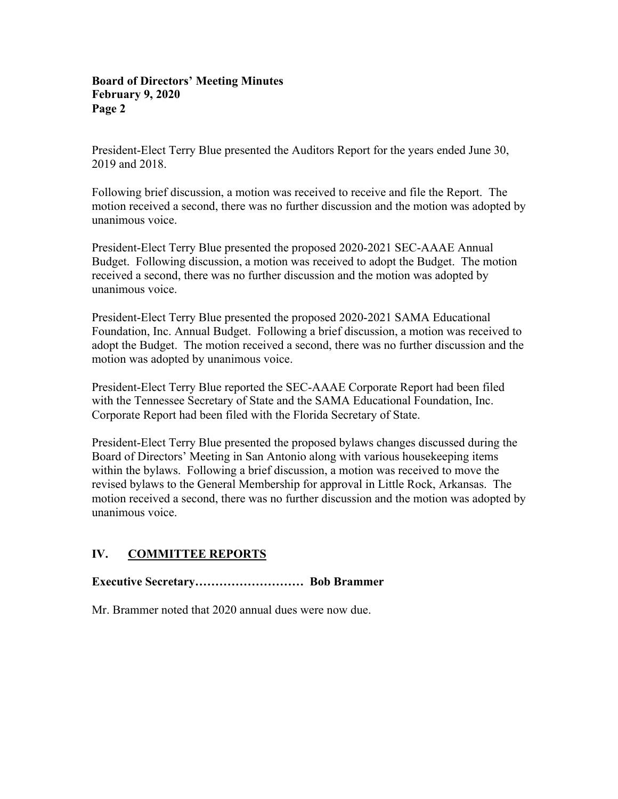President-Elect Terry Blue presented the Auditors Report for the years ended June 30, 2019 and 2018.

Following brief discussion, a motion was received to receive and file the Report. The motion received a second, there was no further discussion and the motion was adopted by unanimous voice.

President-Elect Terry Blue presented the proposed 2020-2021 SEC-AAAE Annual Budget. Following discussion, a motion was received to adopt the Budget. The motion received a second, there was no further discussion and the motion was adopted by unanimous voice.

President-Elect Terry Blue presented the proposed 2020-2021 SAMA Educational Foundation, Inc. Annual Budget. Following a brief discussion, a motion was received to adopt the Budget. The motion received a second, there was no further discussion and the motion was adopted by unanimous voice.

President-Elect Terry Blue reported the SEC-AAAE Corporate Report had been filed with the Tennessee Secretary of State and the SAMA Educational Foundation, Inc. Corporate Report had been filed with the Florida Secretary of State.

President-Elect Terry Blue presented the proposed bylaws changes discussed during the Board of Directors' Meeting in San Antonio along with various housekeeping items within the bylaws. Following a brief discussion, a motion was received to move the revised bylaws to the General Membership for approval in Little Rock, Arkansas. The motion received a second, there was no further discussion and the motion was adopted by unanimous voice.

# **IV. COMMITTEE REPORTS**

# **Executive Secretary……………………… Bob Brammer**

Mr. Brammer noted that 2020 annual dues were now due.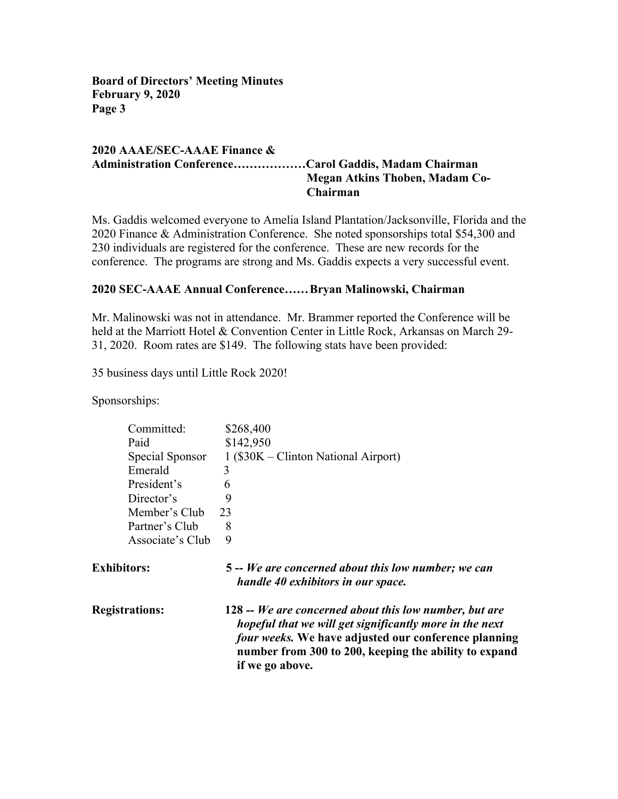## **2020 AAAE/SEC-AAAE Finance & Administration Conference………………Carol Gaddis, Madam Chairman Megan Atkins Thoben, Madam Co-Chairman**

Ms. Gaddis welcomed everyone to Amelia Island Plantation/Jacksonville, Florida and the 2020 Finance & Administration Conference. She noted sponsorships total \$54,300 and 230 individuals are registered for the conference. These are new records for the conference. The programs are strong and Ms. Gaddis expects a very successful event.

## **2020 SEC-AAAE Annual Conference……Bryan Malinowski, Chairman**

Mr. Malinowski was not in attendance. Mr. Brammer reported the Conference will be held at the Marriott Hotel & Convention Center in Little Rock, Arkansas on March 29- 31, 2020. Room rates are \$149. The following stats have been provided:

35 business days until Little Rock 2020!

Sponsorships:

| Committed:            | \$268,400                                                                                                                                                                                                                                             |
|-----------------------|-------------------------------------------------------------------------------------------------------------------------------------------------------------------------------------------------------------------------------------------------------|
| Paid                  | \$142,950                                                                                                                                                                                                                                             |
| Special Sponsor       | $1$ (\$30K – Clinton National Airport)                                                                                                                                                                                                                |
| Emerald               | 3                                                                                                                                                                                                                                                     |
| President's           | 6                                                                                                                                                                                                                                                     |
| Director's            | 9                                                                                                                                                                                                                                                     |
| Member's Club         | 23                                                                                                                                                                                                                                                    |
| Partner's Club        | 8                                                                                                                                                                                                                                                     |
| Associate's Club      | 9                                                                                                                                                                                                                                                     |
| <b>Exhibitors:</b>    | 5 -- We are concerned about this low number; we can<br>handle 40 exhibitors in our space.                                                                                                                                                             |
| <b>Registrations:</b> | 128 -- We are concerned about this low number, but are<br>hopeful that we will get significantly more in the next<br>four weeks. We have adjusted our conference planning<br>number from 300 to 200, keeping the ability to expand<br>if we go above. |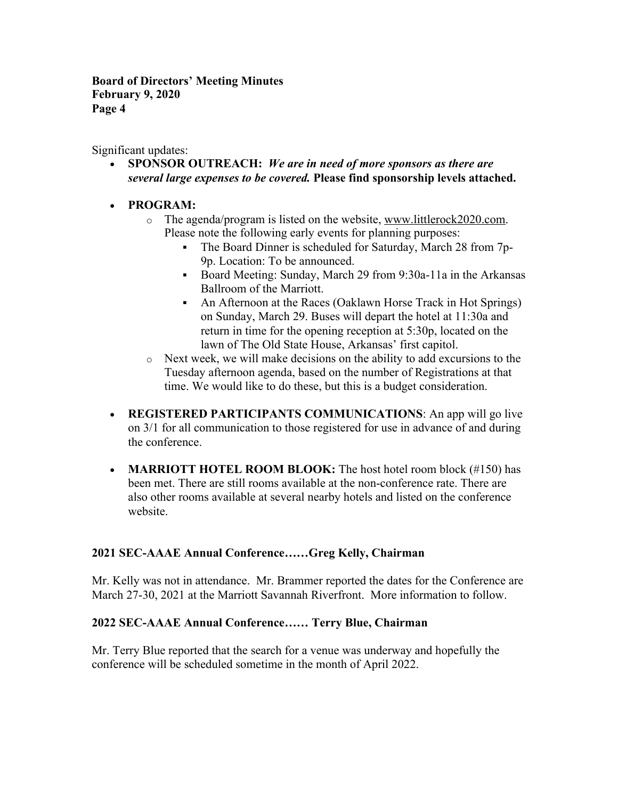Significant updates:

- **SPONSOR OUTREACH:** *We are in need of more sponsors as there are several large expenses to be covered.* **Please find sponsorship levels attached.**
- **PROGRAM:**
	- o The agenda/program is listed on the website, www.littlerock2020.com. Please note the following early events for planning purposes:
		- The Board Dinner is scheduled for Saturday, March 28 from 7p-9p. Location: To be announced.
		- Board Meeting: Sunday, March 29 from 9:30a-11a in the Arkansas Ballroom of the Marriott.
		- An Afternoon at the Races (Oaklawn Horse Track in Hot Springs) on Sunday, March 29. Buses will depart the hotel at 11:30a and return in time for the opening reception at 5:30p, located on the lawn of The Old State House, Arkansas' first capitol.
	- o Next week, we will make decisions on the ability to add excursions to the Tuesday afternoon agenda, based on the number of Registrations at that time. We would like to do these, but this is a budget consideration.
- **REGISTERED PARTICIPANTS COMMUNICATIONS**: An app will go live on 3/1 for all communication to those registered for use in advance of and during the conference.
- **MARRIOTT HOTEL ROOM BLOOK:** The host hotel room block (#150) has been met. There are still rooms available at the non-conference rate. There are also other rooms available at several nearby hotels and listed on the conference website.

# **2021 SEC-AAAE Annual Conference……Greg Kelly, Chairman**

Mr. Kelly was not in attendance. Mr. Brammer reported the dates for the Conference are March 27-30, 2021 at the Marriott Savannah Riverfront. More information to follow.

# **2022 SEC-AAAE Annual Conference…… Terry Blue, Chairman**

Mr. Terry Blue reported that the search for a venue was underway and hopefully the conference will be scheduled sometime in the month of April 2022.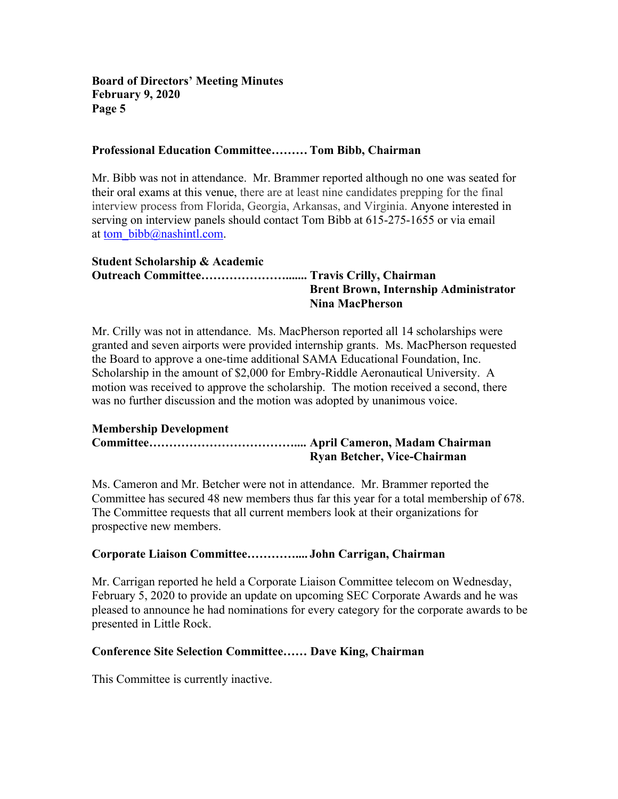### **Professional Education Committee……… Tom Bibb, Chairman**

Mr. Bibb was not in attendance. Mr. Brammer reported although no one was seated for their oral exams at this venue, there are at least nine candidates prepping for the final interview process from Florida, Georgia, Arkansas, and Virginia. Anyone interested in serving on interview panels should contact Tom Bibb at 615-275-1655 or via email at tom\_bibb@nashintl.com.

#### **Student Scholarship & Academic Outreach Committee…………………....... Travis Crilly, Chairman Brent Brown, Internship Administrator Nina MacPherson**

Mr. Crilly was not in attendance. Ms. MacPherson reported all 14 scholarships were granted and seven airports were provided internship grants. Ms. MacPherson requested the Board to approve a one-time additional SAMA Educational Foundation, Inc. Scholarship in the amount of \$2,000 for Embry-Riddle Aeronautical University. A motion was received to approve the scholarship. The motion received a second, there was no further discussion and the motion was adopted by unanimous voice.

#### **Membership Development Committee……………………………….... April Cameron, Madam Chairman Ryan Betcher, Vice-Chairman**

Ms. Cameron and Mr. Betcher were not in attendance. Mr. Brammer reported the Committee has secured 48 new members thus far this year for a total membership of 678. The Committee requests that all current members look at their organizations for prospective new members.

# **Corporate Liaison Committee………….... John Carrigan, Chairman**

Mr. Carrigan reported he held a Corporate Liaison Committee telecom on Wednesday, February 5, 2020 to provide an update on upcoming SEC Corporate Awards and he was pleased to announce he had nominations for every category for the corporate awards to be presented in Little Rock.

### **Conference Site Selection Committee…… Dave King, Chairman**

This Committee is currently inactive.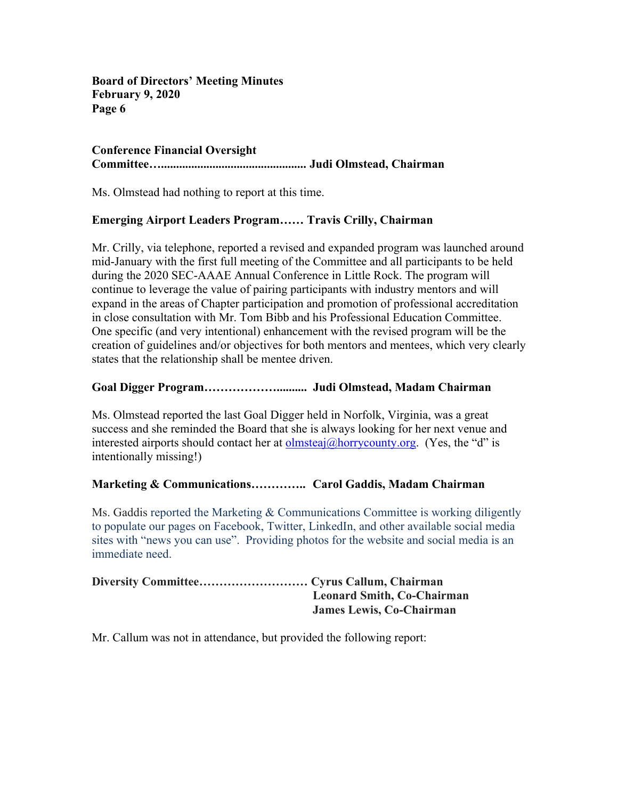## **Conference Financial Oversight Committee…................................................ Judi Olmstead, Chairman**

Ms. Olmstead had nothing to report at this time.

## **Emerging Airport Leaders Program…… Travis Crilly, Chairman**

Mr. Crilly, via telephone, reported a revised and expanded program was launched around mid-January with the first full meeting of the Committee and all participants to be held during the 2020 SEC-AAAE Annual Conference in Little Rock. The program will continue to leverage the value of pairing participants with industry mentors and will expand in the areas of Chapter participation and promotion of professional accreditation in close consultation with Mr. Tom Bibb and his Professional Education Committee. One specific (and very intentional) enhancement with the revised program will be the creation of guidelines and/or objectives for both mentors and mentees, which very clearly states that the relationship shall be mentee driven.

## **Goal Digger Program……………….......... Judi Olmstead, Madam Chairman**

Ms. Olmstead reported the last Goal Digger held in Norfolk, Virginia, was a great success and she reminded the Board that she is always looking for her next venue and interested airports should contact her at  $olmsteaj(\omega)$  horrycounty.org. (Yes, the "d" is intentionally missing!)

### **Marketing & Communications………….. Carol Gaddis, Madam Chairman**

Ms. Gaddis reported the Marketing & Communications Committee is working diligently to populate our pages on Facebook, Twitter, LinkedIn, and other available social media sites with "news you can use". Providing photos for the website and social media is an immediate need.

| <b>Leonard Smith, Co-Chairman</b> |
|-----------------------------------|
| <b>James Lewis, Co-Chairman</b>   |

Mr. Callum was not in attendance, but provided the following report: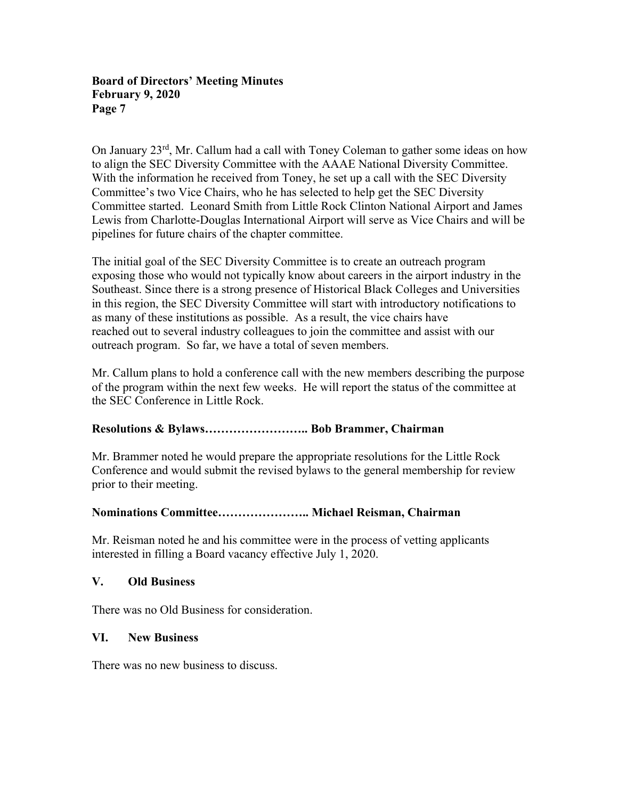On January 23rd, Mr. Callum had a call with Toney Coleman to gather some ideas on how to align the SEC Diversity Committee with the AAAE National Diversity Committee. With the information he received from Toney, he set up a call with the SEC Diversity Committee's two Vice Chairs, who he has selected to help get the SEC Diversity Committee started. Leonard Smith from Little Rock Clinton National Airport and James Lewis from Charlotte-Douglas International Airport will serve as Vice Chairs and will be pipelines for future chairs of the chapter committee.

The initial goal of the SEC Diversity Committee is to create an outreach program exposing those who would not typically know about careers in the airport industry in the Southeast. Since there is a strong presence of Historical Black Colleges and Universities in this region, the SEC Diversity Committee will start with introductory notifications to as many of these institutions as possible. As a result, the vice chairs have reached out to several industry colleagues to join the committee and assist with our outreach program. So far, we have a total of seven members.

Mr. Callum plans to hold a conference call with the new members describing the purpose of the program within the next few weeks. He will report the status of the committee at the SEC Conference in Little Rock.

# **Resolutions & Bylaws…………………….. Bob Brammer, Chairman**

Mr. Brammer noted he would prepare the appropriate resolutions for the Little Rock Conference and would submit the revised bylaws to the general membership for review prior to their meeting.

# **Nominations Committee………………….. Michael Reisman, Chairman**

Mr. Reisman noted he and his committee were in the process of vetting applicants interested in filling a Board vacancy effective July 1, 2020.

### **V. Old Business**

There was no Old Business for consideration.

### **VI. New Business**

There was no new business to discuss.